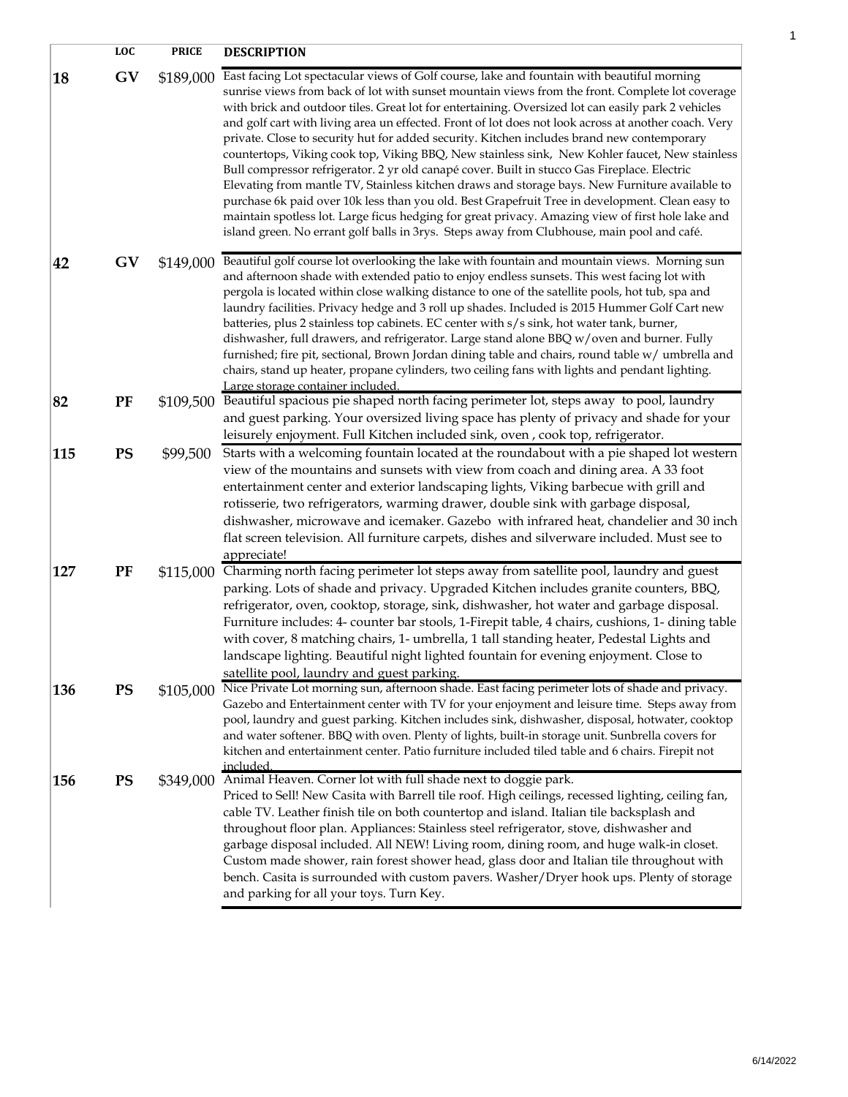|     | <b>LOC</b> | <b>PRICE</b> | <b>DESCRIPTION</b>                                                                                                                                                                                                                                                                                                                                                                                                                                                                                                                                                                                                                                                                                                                                                                                                                                                                                                                                                                                                                                                                                                  |
|-----|------------|--------------|---------------------------------------------------------------------------------------------------------------------------------------------------------------------------------------------------------------------------------------------------------------------------------------------------------------------------------------------------------------------------------------------------------------------------------------------------------------------------------------------------------------------------------------------------------------------------------------------------------------------------------------------------------------------------------------------------------------------------------------------------------------------------------------------------------------------------------------------------------------------------------------------------------------------------------------------------------------------------------------------------------------------------------------------------------------------------------------------------------------------|
| 18  | GV         | \$189,000    | East facing Lot spectacular views of Golf course, lake and fountain with beautiful morning<br>sunrise views from back of lot with sunset mountain views from the front. Complete lot coverage<br>with brick and outdoor tiles. Great lot for entertaining. Oversized lot can easily park 2 vehicles<br>and golf cart with living area un effected. Front of lot does not look across at another coach. Very<br>private. Close to security hut for added security. Kitchen includes brand new contemporary<br>countertops, Viking cook top, Viking BBQ, New stainless sink, New Kohler faucet, New stainless<br>Bull compressor refrigerator. 2 yr old canapé cover. Built in stucco Gas Fireplace. Electric<br>Elevating from mantle TV, Stainless kitchen draws and storage bays. New Furniture available to<br>purchase 6k paid over 10k less than you old. Best Grapefruit Tree in development. Clean easy to<br>maintain spotless lot. Large ficus hedging for great privacy. Amazing view of first hole lake and<br>island green. No errant golf balls in 3rys. Steps away from Clubhouse, main pool and café. |
| 42  | GV         | \$149,000    | Beautiful golf course lot overlooking the lake with fountain and mountain views. Morning sun<br>and afternoon shade with extended patio to enjoy endless sunsets. This west facing lot with<br>pergola is located within close walking distance to one of the satellite pools, hot tub, spa and<br>laundry facilities. Privacy hedge and 3 roll up shades. Included is 2015 Hummer Golf Cart new<br>batteries, plus 2 stainless top cabinets. EC center with s/s sink, hot water tank, burner,<br>dishwasher, full drawers, and refrigerator. Large stand alone BBQ w/oven and burner. Fully<br>furnished; fire pit, sectional, Brown Jordan dining table and chairs, round table w/ umbrella and<br>chairs, stand up heater, propane cylinders, two ceiling fans with lights and pendant lighting.<br>Large storage container included.                                                                                                                                                                                                                                                                            |
| 82  | PF         |              | \$109,500 Beautiful spacious pie shaped north facing perimeter lot, steps away to pool, laundry<br>and guest parking. Your oversized living space has plenty of privacy and shade for your<br>leisurely enjoyment. Full Kitchen included sink, oven, cook top, refrigerator.                                                                                                                                                                                                                                                                                                                                                                                                                                                                                                                                                                                                                                                                                                                                                                                                                                        |
| 115 | <b>PS</b>  | \$99,500     | Starts with a welcoming fountain located at the roundabout with a pie shaped lot western<br>view of the mountains and sunsets with view from coach and dining area. A 33 foot<br>entertainment center and exterior landscaping lights, Viking barbecue with grill and<br>rotisserie, two refrigerators, warming drawer, double sink with garbage disposal,<br>dishwasher, microwave and icemaker. Gazebo with infrared heat, chandelier and 30 inch<br>flat screen television. All furniture carpets, dishes and silverware included. Must see to<br>appreciate!                                                                                                                                                                                                                                                                                                                                                                                                                                                                                                                                                    |
| 127 | PF         |              | \$115,000 Charming north facing perimeter lot steps away from satellite pool, laundry and guest<br>parking. Lots of shade and privacy. Upgraded Kitchen includes granite counters, BBQ,<br>refrigerator, oven, cooktop, storage, sink, dishwasher, hot water and garbage disposal.<br>Furniture includes: 4- counter bar stools, 1-Firepit table, 4 chairs, cushions, 1- dining table<br>with cover, 8 matching chairs, 1- umbrella, 1 tall standing heater, Pedestal Lights and<br>landscape lighting. Beautiful night lighted fountain for evening enjoyment. Close to<br>satellite pool, laundry and guest parking.                                                                                                                                                                                                                                                                                                                                                                                                                                                                                              |
| 136 | <b>PS</b>  | \$105,000    | Nice Private Lot morning sun, afternoon shade. East facing perimeter lots of shade and privacy.<br>Gazebo and Entertainment center with TV for your enjoyment and leisure time. Steps away from<br>pool, laundry and guest parking. Kitchen includes sink, dishwasher, disposal, hotwater, cooktop<br>and water softener. BBQ with oven. Plenty of lights, built-in storage unit. Sunbrella covers for<br>kitchen and entertainment center. Patio furniture included tiled table and 6 chairs. Firepit not<br>.included                                                                                                                                                                                                                                                                                                                                                                                                                                                                                                                                                                                             |
| 156 | <b>PS</b>  |              | \$349,000 Animal Heaven. Corner lot with full shade next to doggie park.<br>Priced to Sell! New Casita with Barrell tile roof. High ceilings, recessed lighting, ceiling fan,<br>cable TV. Leather finish tile on both countertop and island. Italian tile backsplash and<br>throughout floor plan. Appliances: Stainless steel refrigerator, stove, dishwasher and<br>garbage disposal included. All NEW! Living room, dining room, and huge walk-in closet.<br>Custom made shower, rain forest shower head, glass door and Italian tile throughout with<br>bench. Casita is surrounded with custom pavers. Washer/Dryer hook ups. Plenty of storage<br>and parking for all your toys. Turn Key.                                                                                                                                                                                                                                                                                                                                                                                                                   |

1